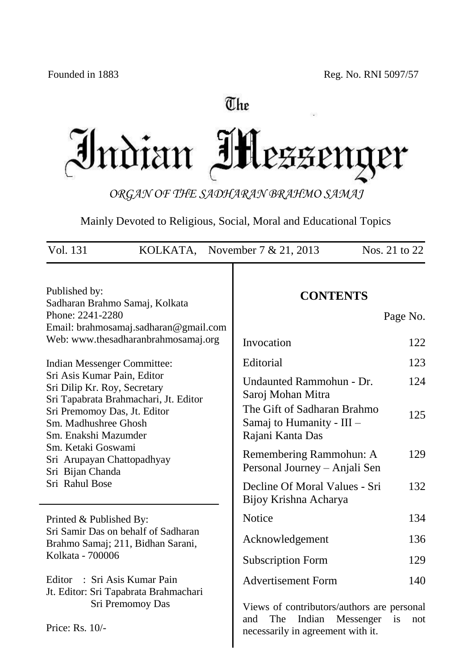# The Indian IH LEZENQ ter

*ORGAN OF THE SADHARAN BRAHMO SAMAJ*

Mainly Devoted to Religious, Social, Moral and Educational Topics

| Vol. 131<br>Nos. 21 to 22<br>KOLKATA, November $7 & 21, 2013$                                                                                                                        |                                                                |                                                                                                                               |            |
|--------------------------------------------------------------------------------------------------------------------------------------------------------------------------------------|----------------------------------------------------------------|-------------------------------------------------------------------------------------------------------------------------------|------------|
| Published by:<br>Sadharan Brahmo Samaj, Kolkata<br>Phone: 2241-2280                                                                                                                  | Email: brahmosamaj.sadharan@gmail.com                          | <b>CONTENTS</b>                                                                                                               | Page No.   |
|                                                                                                                                                                                      | Web: www.thesadharanbrahmosamaj.org                            | Invocation                                                                                                                    | 122        |
| Indian Messenger Committee:                                                                                                                                                          |                                                                | Editorial                                                                                                                     | 123        |
| Sri Asis Kumar Pain, Editor<br>Sri Dilip Kr. Roy, Secretary<br>Sri Tapabrata Brahmachari, Jt. Editor<br>Sri Premomoy Das, Jt. Editor<br>Sm. Madhushree Ghosh<br>Sm. Enakshi Mazumder |                                                                | Undaunted Rammohun - Dr.<br>Saroj Mohan Mitra<br>The Gift of Sadharan Brahmo<br>Samaj to Humanity - III -<br>Rajani Kanta Das | 124<br>125 |
| Sm. Ketaki Goswami<br>Sri Arupayan Chattopadhyay<br>Sri Bijan Chanda<br>Sri Rahul Bose                                                                                               |                                                                | Remembering Rammohun: A<br>Personal Journey - Anjali Sen                                                                      | 129        |
|                                                                                                                                                                                      |                                                                | Decline Of Moral Values - Sri<br>Bijoy Krishna Acharya                                                                        | 132        |
| Printed & Published By:                                                                                                                                                              |                                                                | Notice                                                                                                                        | 134        |
| Sri Samir Das on behalf of Sadharan<br>Brahmo Samaj; 211, Bidhan Sarani,<br>Kolkata - 700006                                                                                         |                                                                | Acknowledgement                                                                                                               | 136        |
|                                                                                                                                                                                      |                                                                | <b>Subscription Form</b>                                                                                                      | 129        |
| Editor                                                                                                                                                                               | : Sri Asis Kumar Pain<br>Jt. Editor: Sri Tapabrata Brahmachari | <b>Advertisement Form</b>                                                                                                     | 140        |
| Sri Premomoy Das<br>Price: Rs. 10/-                                                                                                                                                  |                                                                | Views of contributors/authors are personal<br>Indian<br>Messenger<br>and<br>The<br>necessarily in agreement with it.          | is<br>not  |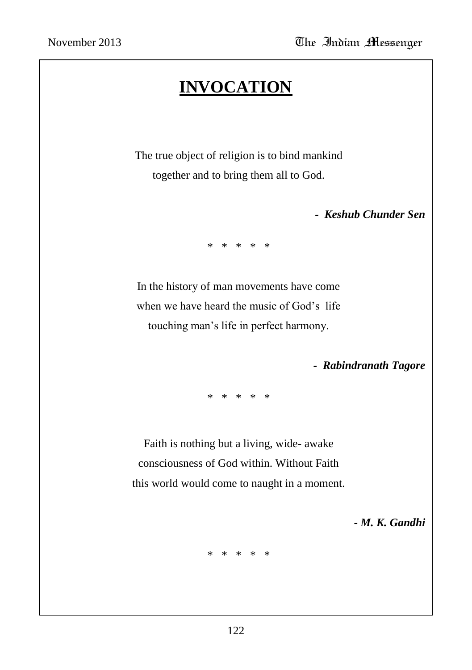# **INVOCATION**

The true object of religion is to bind mankind together and to bring them all to God.

 *- Keshub Chunder Sen*

\* \* \* \* \*

In the history of man movements have come when we have heard the music of God's life touching man"s life in perfect harmony.

 *- Rabindranath Tagore*

\* \* \* \* \*

Faith is nothing but a living, wide- awake consciousness of God within. Without Faith this world would come to naught in a moment.

 *- M. K. Gandhi*

\* \* \* \* \*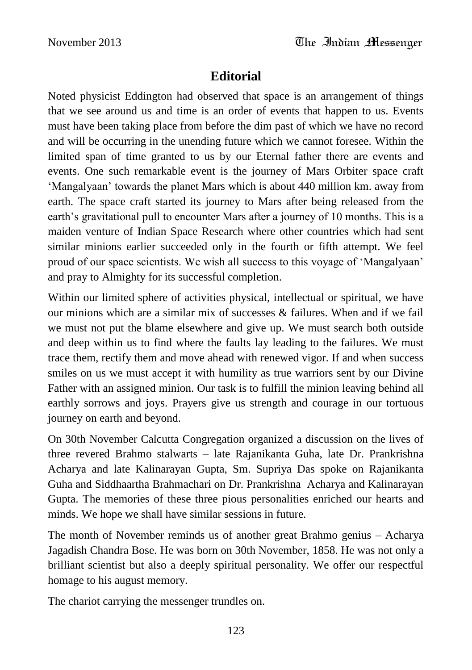# **Editorial**

Noted physicist Eddington had observed that space is an arrangement of things that we see around us and time is an order of events that happen to us. Events must have been taking place from before the dim past of which we have no record and will be occurring in the unending future which we cannot foresee. Within the limited span of time granted to us by our Eternal father there are events and events. One such remarkable event is the journey of Mars Orbiter space craft "Mangalyaan" towards the planet Mars which is about 440 million km. away from earth. The space craft started its journey to Mars after being released from the earth's gravitational pull to encounter Mars after a journey of 10 months. This is a maiden venture of Indian Space Research where other countries which had sent similar minions earlier succeeded only in the fourth or fifth attempt. We feel proud of our space scientists. We wish all success to this voyage of "Mangalyaan" and pray to Almighty for its successful completion.

Within our limited sphere of activities physical, intellectual or spiritual, we have our minions which are a similar mix of successes & failures. When and if we fail we must not put the blame elsewhere and give up. We must search both outside and deep within us to find where the faults lay leading to the failures. We must trace them, rectify them and move ahead with renewed vigor. If and when success smiles on us we must accept it with humility as true warriors sent by our Divine Father with an assigned minion. Our task is to fulfill the minion leaving behind all earthly sorrows and joys. Prayers give us strength and courage in our tortuous journey on earth and beyond.

On 30th November Calcutta Congregation organized a discussion on the lives of three revered Brahmo stalwarts – late Rajanikanta Guha, late Dr. Prankrishna Acharya and late Kalinarayan Gupta, Sm. Supriya Das spoke on Rajanikanta Guha and Siddhaartha Brahmachari on Dr. Prankrishna Acharya and Kalinarayan Gupta. The memories of these three pious personalities enriched our hearts and minds. We hope we shall have similar sessions in future.

The month of November reminds us of another great Brahmo genius – Acharya Jagadish Chandra Bose. He was born on 30th November, 1858. He was not only a brilliant scientist but also a deeply spiritual personality. We offer our respectful homage to his august memory.

The chariot carrying the messenger trundles on.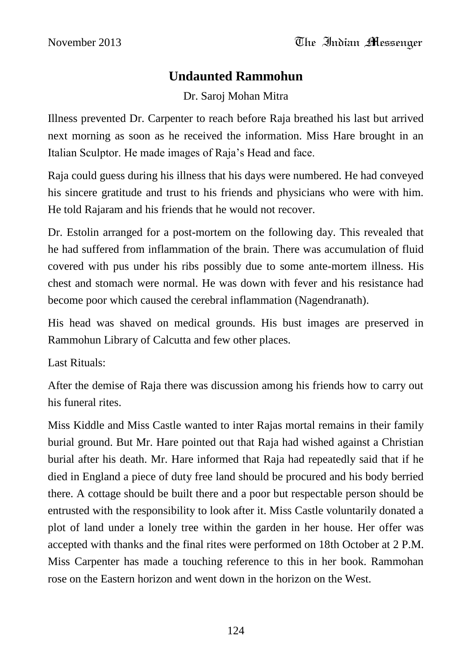# **Undaunted Rammohun**

Dr. Saroj Mohan Mitra

Illness prevented Dr. Carpenter to reach before Raja breathed his last but arrived next morning as soon as he received the information. Miss Hare brought in an Italian Sculptor. He made images of Raja"s Head and face.

Raja could guess during his illness that his days were numbered. He had conveyed his sincere gratitude and trust to his friends and physicians who were with him. He told Rajaram and his friends that he would not recover.

Dr. Estolin arranged for a post-mortem on the following day. This revealed that he had suffered from inflammation of the brain. There was accumulation of fluid covered with pus under his ribs possibly due to some ante-mortem illness. His chest and stomach were normal. He was down with fever and his resistance had become poor which caused the cerebral inflammation (Nagendranath).

His head was shaved on medical grounds. His bust images are preserved in Rammohun Library of Calcutta and few other places.

Last Rituals:

After the demise of Raja there was discussion among his friends how to carry out his funeral rites.

Miss Kiddle and Miss Castle wanted to inter Rajas mortal remains in their family burial ground. But Mr. Hare pointed out that Raja had wished against a Christian burial after his death. Mr. Hare informed that Raja had repeatedly said that if he died in England a piece of duty free land should be procured and his body berried there. A cottage should be built there and a poor but respectable person should be entrusted with the responsibility to look after it. Miss Castle voluntarily donated a plot of land under a lonely tree within the garden in her house. Her offer was accepted with thanks and the final rites were performed on 18th October at 2 P.M. Miss Carpenter has made a touching reference to this in her book. Rammohan rose on the Eastern horizon and went down in the horizon on the West.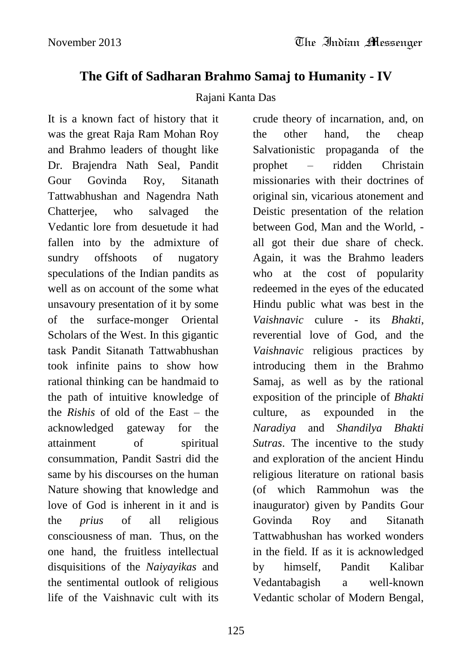# **The Gift of Sadharan Brahmo Samaj to Humanity - IV**

#### Rajani Kanta Das

It is a known fact of history that it was the great Raja Ram Mohan Roy and Brahmo leaders of thought like Dr. Brajendra Nath Seal, Pandit Gour Govinda Roy, Sitanath Tattwabhushan and Nagendra Nath Chatterjee, who salvaged the Vedantic lore from desuetude it had fallen into by the admixture of sundry offshoots of nugatory speculations of the Indian pandits as well as on account of the some what unsavoury presentation of it by some of the surface-monger Oriental Scholars of the West. In this gigantic task Pandit Sitanath Tattwabhushan took infinite pains to show how rational thinking can be handmaid to the path of intuitive knowledge of the *Rishis* of old of the East – the acknowledged gateway for the attainment of spiritual consummation, Pandit Sastri did the same by his discourses on the human Nature showing that knowledge and love of God is inherent in it and is the *prius* of all religious consciousness of man. Thus, on the one hand, the fruitless intellectual disquisitions of the *Naiyayikas* and the sentimental outlook of religious life of the Vaishnavic cult with its

crude theory of incarnation, and, on the other hand, the cheap Salvationistic propaganda of the prophet – ridden Christain missionaries with their doctrines of original sin, vicarious atonement and Deistic presentation of the relation between God, Man and the World, all got their due share of check. Again, it was the Brahmo leaders who at the cost of popularity redeemed in the eyes of the educated Hindu public what was best in the *Vaishnavic* culure - its *Bhakti*, reverential love of God, and the *Vaishnavic* religious practices by introducing them in the Brahmo Samaj, as well as by the rational exposition of the principle of *Bhakti* culture, as expounded in the *Naradiya* and *Shandilya Bhakti Sutras*. The incentive to the study and exploration of the ancient Hindu religious literature on rational basis (of which Rammohun was the inaugurator) given by Pandits Gour Govinda Roy and Sitanath Tattwabhushan has worked wonders in the field. If as it is acknowledged by himself, Pandit Kalibar Vedantabagish a well-known Vedantic scholar of Modern Bengal,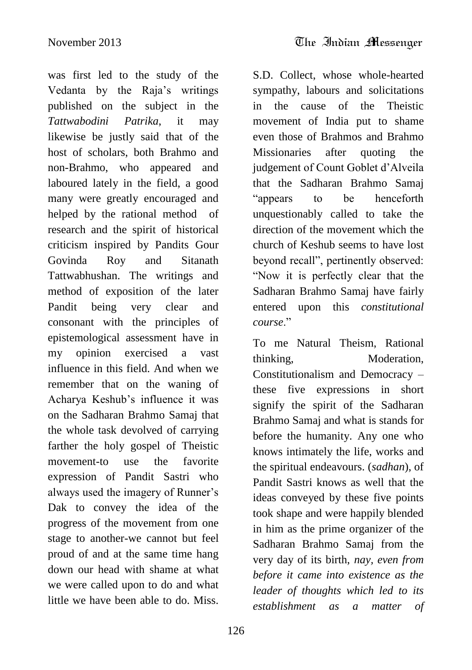was first led to the study of the Vedanta by the Raja"s writings published on the subject in the *Tattwabodini Patrika*, it may likewise be justly said that of the host of scholars, both Brahmo and non-Brahmo, who appeared and laboured lately in the field, a good many were greatly encouraged and helped by the rational method of research and the spirit of historical criticism inspired by Pandits Gour Govinda Roy and Sitanath Tattwabhushan. The writings and method of exposition of the later Pandit being very clear and consonant with the principles of epistemological assessment have in my opinion exercised a vast influence in this field. And when we remember that on the waning of Acharya Keshub"s influence it was on the Sadharan Brahmo Samaj that the whole task devolved of carrying farther the holy gospel of Theistic movement-to use the favorite expression of Pandit Sastri who always used the imagery of Runner"s Dak to convey the idea of the progress of the movement from one stage to another-we cannot but feel proud of and at the same time hang down our head with shame at what we were called upon to do and what little we have been able to do. Miss.

S.D. Collect, whose whole-hearted sympathy, labours and solicitations in the cause of the Theistic movement of India put to shame even those of Brahmos and Brahmo Missionaries after quoting the judgement of Count Goblet d"Alveila that the Sadharan Brahmo Samaj "appears to be henceforth unquestionably called to take the direction of the movement which the church of Keshub seems to have lost beyond recall", pertinently observed: "Now it is perfectly clear that the Sadharan Brahmo Samaj have fairly entered upon this *constitutional course*."

To me Natural Theism, Rational thinking, Moderation, Constitutionalism and Democracy – these five expressions in short signify the spirit of the Sadharan Brahmo Samaj and what is stands for before the humanity. Any one who knows intimately the life, works and the spiritual endeavours. (*sadhan*), of Pandit Sastri knows as well that the ideas conveyed by these five points took shape and were happily blended in him as the prime organizer of the Sadharan Brahmo Samaj from the very day of its birth, *nay, even from before it came into existence as the leader of thoughts which led to its establishment as a matter of*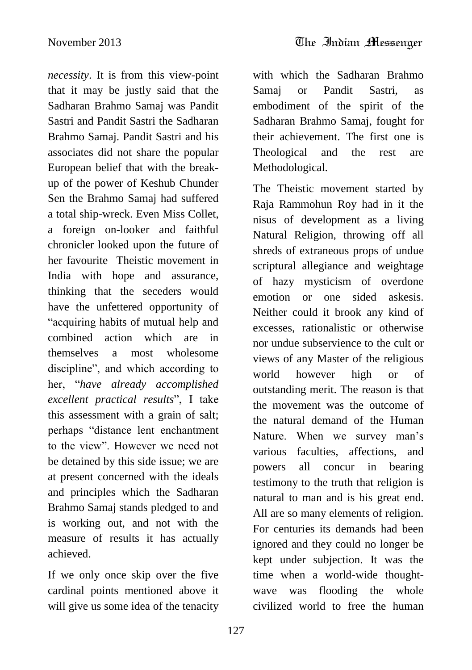*necessity*. It is from this view-point that it may be justly said that the Sadharan Brahmo Samaj was Pandit Sastri and Pandit Sastri the Sadharan Brahmo Samaj. Pandit Sastri and his associates did not share the popular European belief that with the breakup of the power of Keshub Chunder Sen the Brahmo Samaj had suffered a total ship-wreck. Even Miss Collet, a foreign on-looker and faithful chronicler looked upon the future of her favourite Theistic movement in India with hope and assurance, thinking that the seceders would have the unfettered opportunity of "acquiring habits of mutual help and combined action which are in themselves a most wholesome discipline", and which according to her, "*have already accomplished excellent practical results*", I take this assessment with a grain of salt; perhaps "distance lent enchantment to the view". However we need not be detained by this side issue; we are at present concerned with the ideals and principles which the Sadharan Brahmo Samaj stands pledged to and is working out, and not with the measure of results it has actually achieved.

If we only once skip over the five cardinal points mentioned above it will give us some idea of the tenacity

with which the Sadharan Brahmo Samaj or Pandit Sastri, as embodiment of the spirit of the Sadharan Brahmo Samaj, fought for their achievement. The first one is Theological and the rest are Methodological.

The Theistic movement started by Raja Rammohun Roy had in it the nisus of development as a living Natural Religion, throwing off all shreds of extraneous props of undue scriptural allegiance and weightage of hazy mysticism of overdone emotion or one sided askesis. Neither could it brook any kind of excesses, rationalistic or otherwise nor undue subservience to the cult or views of any Master of the religious world however high or of outstanding merit. The reason is that the movement was the outcome of the natural demand of the Human Nature. When we survey man's various faculties, affections, and powers all concur in bearing testimony to the truth that religion is natural to man and is his great end. All are so many elements of religion. For centuries its demands had been ignored and they could no longer be kept under subjection. It was the time when a world-wide thoughtwave was flooding the whole civilized world to free the human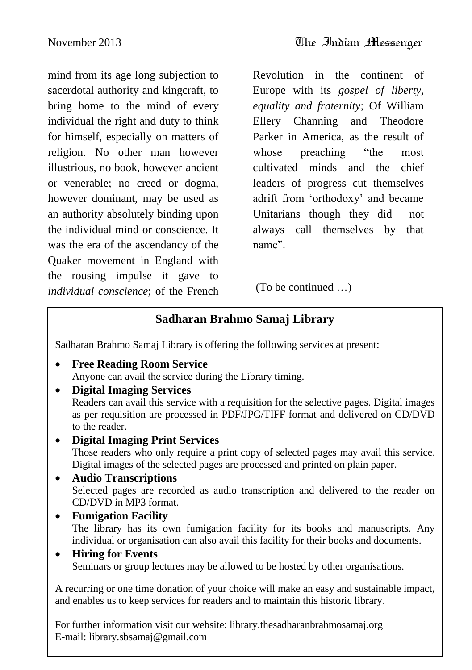mind from its age long subjection to sacerdotal authority and kingcraft, to bring home to the mind of every individual the right and duty to think for himself, especially on matters of religion. No other man however illustrious, no book, however ancient or venerable; no creed or dogma, however dominant, may be used as an authority absolutely binding upon the individual mind or conscience. It was the era of the ascendancy of the Quaker movement in England with the rousing impulse it gave to *individual conscience*; of the French Revolution in the continent of Europe with its *gospel of liberty, equality and fraternity*; Of William Ellery Channing and Theodore Parker in America, as the result of whose preaching "the most cultivated minds and the chief leaders of progress cut themselves adrift from "orthodoxy" and became Unitarians though they did not always call themselves by that name".

(To be continued …)

### **Sadharan Brahmo Samaj Library**

Sadharan Brahmo Samaj Library is offering the following services at present:

- **Free Reading Room Service** Anyone can avail the service during the Library timing.
- **Digital Imaging Services** Readers can avail this service with a requisition for the selective pages. Digital images as per requisition are processed in PDF/JPG/TIFF format and delivered on CD/DVD to the reader.
	- **Digital Imaging Print Services** Those readers who only require a print copy of selected pages may avail this service. Digital images of the selected pages are processed and printed on plain paper.
- **Audio Transcriptions** Selected pages are recorded as audio transcription and delivered to the reader on CD/DVD in MP3 format.
- **Fumigation Facility** The library has its own fumigation facility for its books and manuscripts. Any individual or organisation can also avail this facility for their books and documents.
- **Hiring for Events** Seminars or group lectures may be allowed to be hosted by other organisations.

A recurring or one time donation of your choice will make an easy and sustainable impact, and enables us to keep services for readers and to maintain this historic library.

For further information visit our website: library.thesadharanbrahmosamaj.org<br>E meil: librery chaamai@amail.com E-mail: library.sbsamaj@gmail.com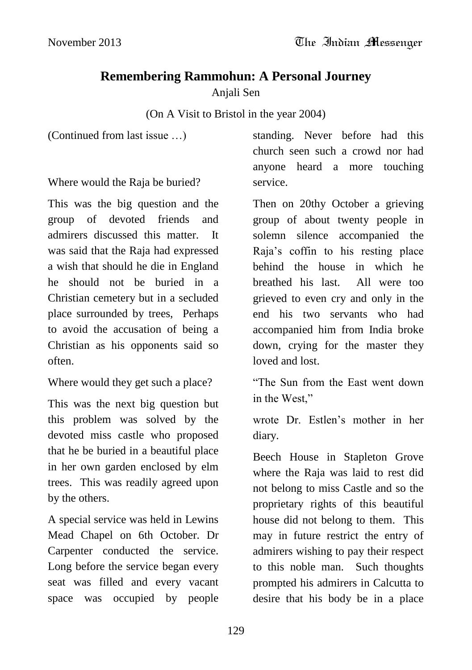# **Remembering Rammohun: A Personal Journey**

Anjali Sen

# (On A Visit to Bristol in the year 2004)

(Continued from last issue …)

Where would the Raja be buried?

This was the big question and the group of devoted friends and admirers discussed this matter. It was said that the Raja had expressed a wish that should he die in England he should not be buried in a Christian cemetery but in a secluded place surrounded by trees, Perhaps to avoid the accusation of being a Christian as his opponents said so often.

Where would they get such a place?

This was the next big question but this problem was solved by the devoted miss castle who proposed that he be buried in a beautiful place in her own garden enclosed by elm trees. This was readily agreed upon by the others.

A special service was held in Lewins Mead Chapel on 6th October. Dr Carpenter conducted the service. Long before the service began every seat was filled and every vacant space was occupied by people

standing. Never before had this church seen such a crowd nor had anyone heard a more touching service.

Then on 20thy October a grieving group of about twenty people in solemn silence accompanied the Raja"s coffin to his resting place behind the house in which he breathed his last. All were too grieved to even cry and only in the end his two servants who had accompanied him from India broke down, crying for the master they loved and lost.

"The Sun from the East went down in the West,"

wrote Dr. Estlen"s mother in her diary.

Beech House in Stapleton Grove where the Raja was laid to rest did not belong to miss Castle and so the proprietary rights of this beautiful house did not belong to them. This may in future restrict the entry of admirers wishing to pay their respect to this noble man. Such thoughts prompted his admirers in Calcutta to desire that his body be in a place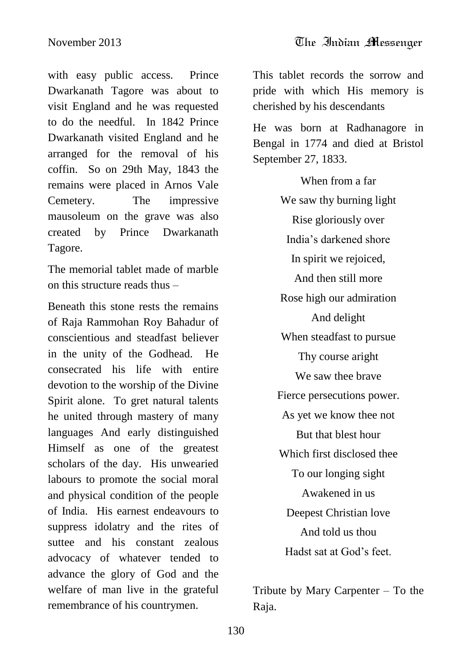with easy public access. Prince Dwarkanath Tagore was about to visit England and he was requested to do the needful. In 1842 Prince Dwarkanath visited England and he arranged for the removal of his coffin. So on 29th May, 1843 the remains were placed in Arnos Vale Cemetery. The impressive mausoleum on the grave was also created by Prince Dwarkanath Tagore.

The memorial tablet made of marble on this structure reads thus –

Beneath this stone rests the remains of Raja Rammohan Roy Bahadur of conscientious and steadfast believer in the unity of the Godhead. He consecrated his life with entire devotion to the worship of the Divine Spirit alone. To gret natural talents he united through mastery of many languages And early distinguished Himself as one of the greatest scholars of the day. His unwearied labours to promote the social moral and physical condition of the people of India. His earnest endeavours to suppress idolatry and the rites of suttee and his constant zealous advocacy of whatever tended to advance the glory of God and the welfare of man live in the grateful remembrance of his countrymen.

This tablet records the sorrow and pride with which His memory is cherished by his descendants

He was born at Radhanagore in Bengal in 1774 and died at Bristol September 27, 1833.

> When from a far We saw thy burning light Rise gloriously over India"s darkened shore In spirit we rejoiced, And then still more Rose high our admiration And delight When steadfast to pursue Thy course aright We saw thee brave Fierce persecutions power. As yet we know thee not But that blest hour Which first disclosed thee To our longing sight Awakened in us Deepest Christian love And told us thou Hadst sat at God"s feet.

Tribute by Mary Carpenter – To the Raja.

130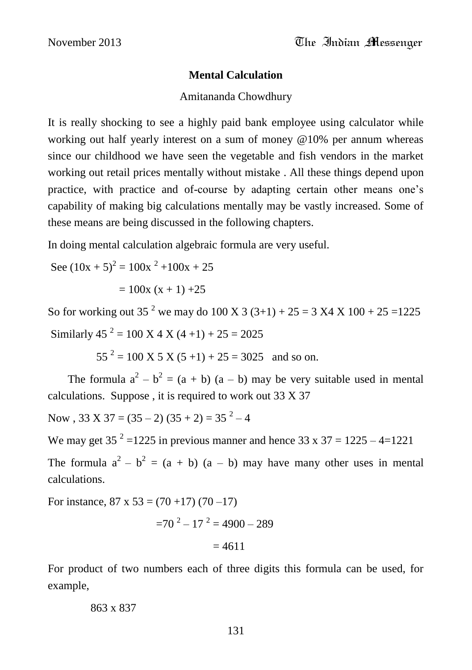#### **Mental Calculation**

#### Amitananda Chowdhury

It is really shocking to see a highly paid bank employee using calculator while working out half yearly interest on a sum of money @10% per annum whereas since our childhood we have seen the vegetable and fish vendors in the market working out retail prices mentally without mistake . All these things depend upon practice, with practice and of-course by adapting certain other means one"s capability of making big calculations mentally may be vastly increased. Some of these means are being discussed in the following chapters.

In doing mental calculation algebraic formula are very useful.

See  $(10x + 5)^2 = 100x^2 + 100x + 25$ 

 $= 100x (x + 1) +25$ 

So for working out 35<sup>2</sup> we may do 100 X 3 (3+1) + 25 = 3 X4 X 100 + 25 = 1225 Similarly  $45^2 = 100 \text{ X } 4 \text{ X } (4+1) + 25 = 2025$ 

 $55^{2} = 100 \text{ X } 5 \text{ X } (5+1) + 25 = 3025 \text{ and so on.}$ 

The formula  $a^2 - b^2 = (a + b) (a - b)$  may be very suitable used in mental calculations. Suppose , it is required to work out 33 X 37

Now,  $33 \text{ X } 37 = (35 - 2) (35 + 2) = 35^2 - 4$ 

We may get 35<sup>2</sup> = 1225 in previous manner and hence 33 x 37 = 1225 - 4 = 1221

The formula  $a^2 - b^2 = (a + b) (a - b)$  may have many other uses in mental calculations.

For instance,  $87 \times 53 = (70 + 17) (70 - 17)$ 

$$
=70^2-17^2=4900-289
$$

$$
=4611
$$

For product of two numbers each of three digits this formula can be used, for example,

863 x 837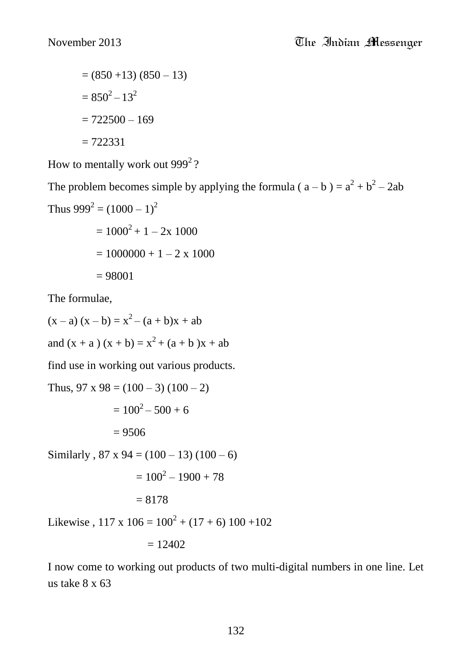$= (850 + 13) (850 - 13)$  $= 850^2 - 13^2$  $= 722500 - 169$  $= 722331$ 

How to mentally work out  $999^2$ ?

The problem becomes simple by applying the formula ( $a - b$ ) =  $a^2 + b^2 - 2ab$ Thus  $999^2 = (1000 - 1)^2$  $= 1000^2 + 1 = 2x 1000$ 

$$
= 1000 + 1 - 2x 1000
$$

$$
= 1000000 + 1 - 2x 1000
$$

$$
= 98001
$$

The formulae,

 $(x - a) (x - b) = x<sup>2</sup> - (a + b)x + ab$ and  $(x + a)(x + b) = x<sup>2</sup> + (a + b)x + ab$ 

find use in working out various products.

Thus,  $97 \times 98 = (100 - 3) (100 - 2)$  $= 100^2 - 500 + 6$  $= 9506$ Similarly,  $87 \times 94 = (100 - 13) (100 - 6)$  $= 100^2 - 1900 + 78$  $= 8178$ 

Likewise,  $117 \times 106 = 100^2 + (17 + 6) 100 + 102$ 

$$
= 12402
$$

I now come to working out products of two multi-digital numbers in one line. Let us take 8 x 63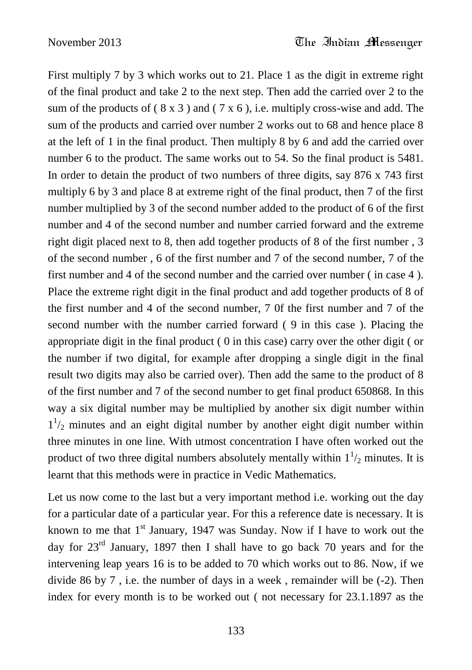First multiply 7 by 3 which works out to 21. Place 1 as the digit in extreme right of the final product and take 2 to the next step. Then add the carried over 2 to the sum of the products of  $(8 \times 3)$  and  $(7 \times 6)$ , i.e. multiply cross-wise and add. The sum of the products and carried over number 2 works out to 68 and hence place 8 at the left of 1 in the final product. Then multiply 8 by 6 and add the carried over number 6 to the product. The same works out to 54. So the final product is 5481. In order to detain the product of two numbers of three digits, say 876 x 743 first multiply 6 by 3 and place 8 at extreme right of the final product, then 7 of the first number multiplied by 3 of the second number added to the product of 6 of the first number and 4 of the second number and number carried forward and the extreme right digit placed next to 8, then add together products of 8 of the first number , 3 of the second number , 6 of the first number and 7 of the second number, 7 of the first number and 4 of the second number and the carried over number ( in case 4 ). Place the extreme right digit in the final product and add together products of 8 of the first number and 4 of the second number, 7 0f the first number and 7 of the second number with the number carried forward ( 9 in this case ). Placing the appropriate digit in the final product ( 0 in this case) carry over the other digit ( or the number if two digital, for example after dropping a single digit in the final result two digits may also be carried over). Then add the same to the product of 8 of the first number and 7 of the second number to get final product 650868. In this way a six digital number may be multiplied by another six digit number within  $1<sup>1</sup>/2$  minutes and an eight digital number by another eight digit number within three minutes in one line. With utmost concentration I have often worked out the product of two three digital numbers absolutely mentally within  $1\frac{1}{2}$  minutes. It is learnt that this methods were in practice in Vedic Mathematics.

Let us now come to the last but a very important method i.e. working out the day for a particular date of a particular year. For this a reference date is necessary. It is known to me that  $1<sup>st</sup>$  January, 1947 was Sunday. Now if I have to work out the day for  $23<sup>rd</sup>$  January, 1897 then I shall have to go back 70 years and for the intervening leap years 16 is to be added to 70 which works out to 86. Now, if we divide 86 by 7 , i.e. the number of days in a week , remainder will be (-2). Then index for every month is to be worked out ( not necessary for 23.1.1897 as the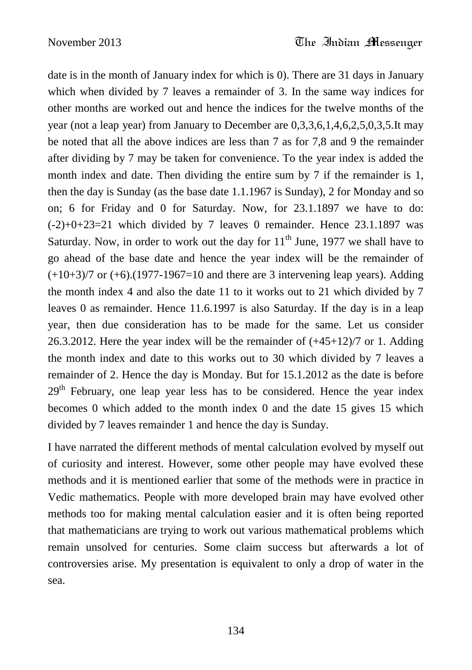date is in the month of January index for which is 0). There are 31 days in January which when divided by 7 leaves a remainder of 3. In the same way indices for other months are worked out and hence the indices for the twelve months of the year (not a leap year) from January to December are 0,3,3,6,1,4,6,2,5,0,3,5.It may be noted that all the above indices are less than 7 as for 7,8 and 9 the remainder after dividing by 7 may be taken for convenience. To the year index is added the month index and date. Then dividing the entire sum by 7 if the remainder is 1, then the day is Sunday (as the base date 1.1.1967 is Sunday), 2 for Monday and so on; 6 for Friday and 0 for Saturday. Now, for 23.1.1897 we have to do:  $(-2)+0+23=21$  which divided by 7 leaves 0 remainder. Hence 23.1.1897 was Saturday. Now, in order to work out the day for  $11<sup>th</sup>$  June, 1977 we shall have to go ahead of the base date and hence the year index will be the remainder of  $(+10+3)/7$  or  $(+6)$ .(1977-1967=10 and there are 3 intervening leap years). Adding the month index 4 and also the date 11 to it works out to 21 which divided by 7 leaves 0 as remainder. Hence 11.6.1997 is also Saturday. If the day is in a leap year, then due consideration has to be made for the same. Let us consider 26.3.2012. Here the year index will be the remainder of  $(+45+12)/7$  or 1. Adding the month index and date to this works out to 30 which divided by 7 leaves a remainder of 2. Hence the day is Monday. But for 15.1.2012 as the date is before  $29<sup>th</sup>$  February, one leap year less has to be considered. Hence the year index becomes 0 which added to the month index 0 and the date 15 gives 15 which divided by 7 leaves remainder 1 and hence the day is Sunday.

I have narrated the different methods of mental calculation evolved by myself out of curiosity and interest. However, some other people may have evolved these methods and it is mentioned earlier that some of the methods were in practice in Vedic mathematics. People with more developed brain may have evolved other methods too for making mental calculation easier and it is often being reported that mathematicians are trying to work out various mathematical problems which remain unsolved for centuries. Some claim success but afterwards a lot of controversies arise. My presentation is equivalent to only a drop of water in the sea.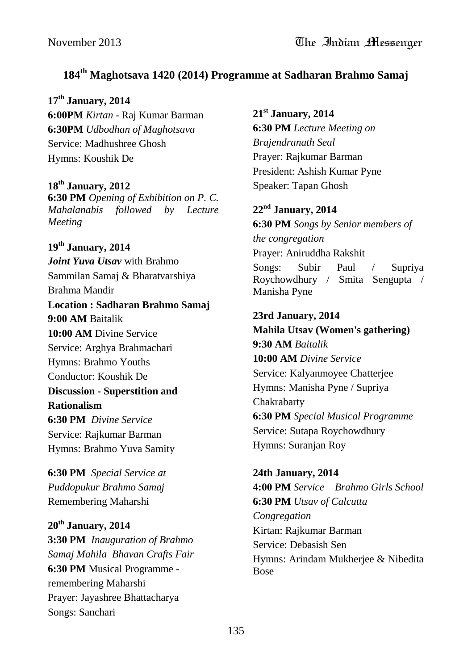### **184th Maghotsava 1420 (2014) Programme at Sadharan Brahmo Samaj**

**17th January, 2014 6:00PM** *Kirtan* - Raj Kumar Barman **6:30PM** *Udbodhan of Maghotsava* Service: Madhushree Ghosh Hymns: Koushik De

**18th January, 2012 6:30 PM** *Opening of Exhibition on P. C. Mahalanabis followed by Lecture Meeting*

**19th January, 2014** *Joint Yuva Utsav* with Brahmo Sammilan Samaj & Bharatvarshiya Brahma Mandir **Location : Sadharan Brahmo Samaj 9:00 AM** Baitalik **10:00 AM** Divine Service Service: Arghya Brahmachari Hymns: Brahmo Youths Conductor: Koushik De **Discussion - Superstition and Rationalism 6:30 PM** *Divine Service* Service: Rajkumar Barman Hymns: Brahmo Yuva Samity

**6:30 PM** *Special Service at Puddopukur Brahmo Samaj* Remembering Maharshi

**20th January, 2014 3:30 PM** *Inauguration of Brahmo Samaj Mahila Bhavan Crafts Fair* **6:30 PM** Musical Programme remembering Maharshi Prayer: Jayashree Bhattacharya Songs: Sanchari

**21st January, 2014 6:30 PM** *Lecture Meeting on Brajendranath Seal* Prayer: Rajkumar Barman President: Ashish Kumar Pyne Speaker: Tapan Ghosh

**22nd January, 2014 6:30 PM** *Songs by Senior members of the congregation* Prayer: Aniruddha Rakshit Songs: Subir Paul / Supriya Roychowdhury / Smita Sengupta / Manisha Pyne

# **23rd January, 2014 Mahila Utsav (Women's gathering)**

**9:30 AM** *Baitalik* **10:00 AM** *Divine Service* Service: Kalyanmoyee Chatterjee Hymns: Manisha Pyne / Supriya Chakrabarty **6:30 PM** *Special Musical Programme* Service: Sutapa Roychowdhury Hymns: Suranjan Roy

**24th January, 2014 4:00 PM** *Service – Brahmo Girls School* **6:30 PM** *Utsav of Calcutta Congregation* Kirtan: Rajkumar Barman Service: Debasish Sen Hymns: Arindam Mukherjee & Nibedita Bose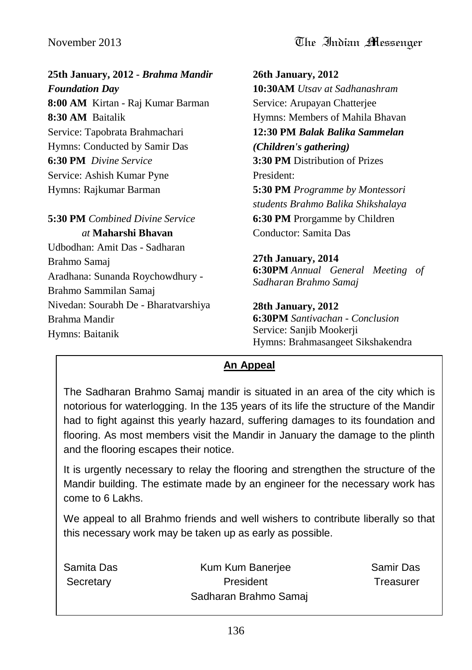**25th January, 2012 -** *Brahma Mandir Foundation Day* **8:00 AM** Kirtan - Raj Kumar Barman **8:30 AM** Baitalik Service: Tapobrata Brahmachari Hymns: Conducted by Samir Das **6:30 PM** *Divine Service* Service: Ashish Kumar Pyne Hymns: Rajkumar Barman

**5:30 PM** *Combined Divine Service at* **Maharshi Bhavan** Udbodhan: Amit Das - Sadharan

Brahmo Samaj Aradhana: Sunanda Roychowdhury - Brahmo Sammilan Samaj Nivedan: Sourabh De - Bharatvarshiya Brahma Mandir Hymns: Baitanik

**26th January, 2012 10:30AM** *Utsav at Sadhanashram* Service: Arupayan Chatterjee Hymns: Members of Mahila Bhavan **12:30 PM** *Balak Balika Sammelan (Children's gathering)* **3:30 PM** Distribution of Prizes President: **5:30 PM** *Programme by Montessori students Brahmo Balika Shikshalaya* **6:30 PM** Prorgamme by Children Conductor: Samita Das

**27th January, 2014 6:30PM** *Annual General Meeting of Sadharan Brahmo Samaj*

#### **28th January, 2012**

**6:30PM** *Santivachan - Conclusion* Service: Sanjib Mookerji Hymns: Brahmasangeet Sikshakendra

#### **An Appeal**

The Sadharan Brahmo Samaj mandir is situated in an area of the city which is notorious for waterlogging. In the 135 years of its life the structure of the Mandir had to fight against this yearly hazard, suffering damages to its foundation and flooring. As most members visit the Mandir in January the damage to the plinth and the flooring escapes their notice.

It is urgently necessary to relay the flooring and strengthen the structure of the Mandir building. The estimate made by an engineer for the necessary work has come to 6 Lakhs.

We appeal to all Brahmo friends and well wishers to contribute liberally so that this necessary work may be taken up as early as possible.

| Samita Das | Kum Kum Banerjee      | Samir Das |
|------------|-----------------------|-----------|
| Secretary  | President             | Treasurer |
|            | Sadharan Brahmo Samaj |           |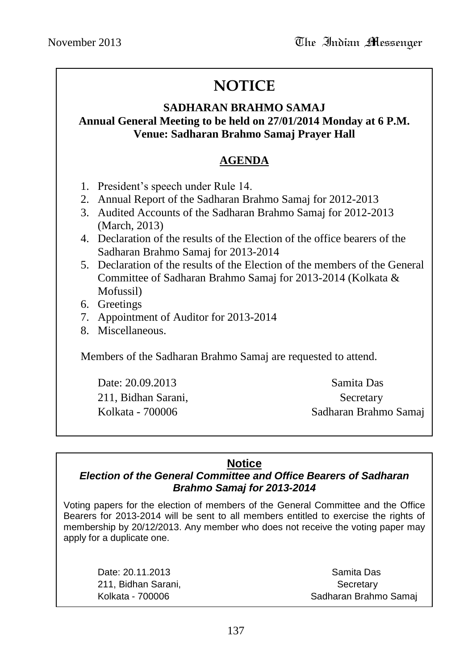# **NOTICE**

# **SADHARAN BRAHMO SAMAJ**

#### **Annual General Meeting to be held on 27/01/2014 Monday at 6 P.M. Venue: Sadharan Brahmo Samaj Prayer Hall**

#### **AGENDA**

- 1. President"s speech under Rule 14.
- 2. Annual Report of the Sadharan Brahmo Samaj for 2012-2013
- 3. Audited Accounts of the Sadharan Brahmo Samaj for 2012-2013 (March, 2013)
- 4. Declaration of the results of the Election of the office bearers of the Sadharan Brahmo Samaj for 2013-2014
- 5. Declaration of the results of the Election of the members of the General Committee of Sadharan Brahmo Samaj for 2013-2014 (Kolkata & Mofussil)
- 6. Greetings
- 7. Appointment of Auditor for 2013-2014
- 8. Miscellaneous.

Members of the Sadharan Brahmo Samaj are requested to attend.

Date: 20.09.2013 Samita Das 211, Bidhan Sarani, Secretary

Kolkata - 700006 Sadharan Brahmo Samaj

### **Notice**

#### *Election of the General Committee and Office Bearers of Sadharan Brahmo Samaj for 2013-2014*

Voting papers for the election of members of the General Committee and the Office Bearers for 2013-2014 will be sent to all members entitled to exercise the rights of membership by 20/12/2013. Any member who does not receive the voting paper may apply for a duplicate one.

211, Bidhan Sarani, Santani, Secretary Secretary Secretary

Date: 20.11.2013 Samita Das Kolkata - 700006 Sadharan Brahmo Samai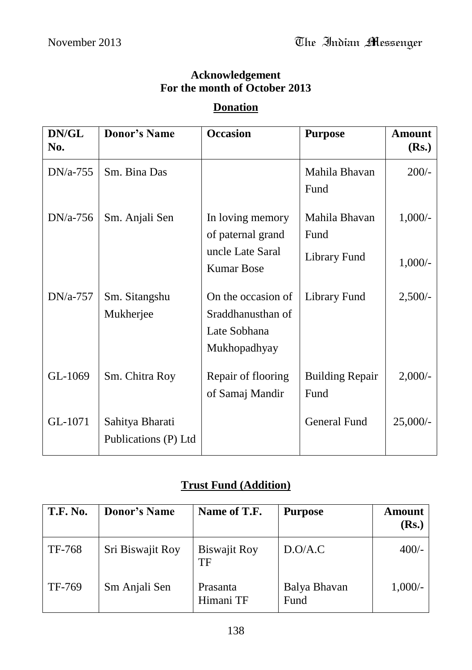#### **Acknowledgement For the month of October 2013**

#### **Donation**

| DN/GL<br>No. | <b>Donor's Name</b>                     | <b>Occasion</b>                                                                | <b>Purpose</b>                        | <b>Amount</b><br>(Rs.) |
|--------------|-----------------------------------------|--------------------------------------------------------------------------------|---------------------------------------|------------------------|
| $DN/a-755$   | Sm. Bina Das                            |                                                                                | Mahila Bhavan<br>Fund                 | $200/-$                |
| $DN/a-756$   | Sm. Anjali Sen                          | In loving memory<br>of paternal grand<br>uncle Late Saral<br><b>Kumar Bose</b> | Mahila Bhavan<br>Fund<br>Library Fund | $1,000/-$<br>$1,000/-$ |
| $DN/a-757$   | Sm. Sitangshu<br>Mukherjee              | On the occasion of<br>Sraddhanusthan of<br>Late Sobhana<br>Mukhopadhyay        | Library Fund                          | 2,500/                 |
| GL-1069      | Sm. Chitra Roy                          | Repair of flooring<br>of Samaj Mandir                                          | <b>Building Repair</b><br>Fund        | 2,000/                 |
| GL-1071      | Sahitya Bharati<br>Publications (P) Ltd |                                                                                | General Fund                          | $25,000/-$             |

#### **Trust Fund (Addition)**

| <b>T.F. No.</b> | <b>Donor's Name</b> | Name of T.F.              | <b>Purpose</b>       | <b>Amount</b><br>(Rs.) |
|-----------------|---------------------|---------------------------|----------------------|------------------------|
| TF-768          | Sri Biswajit Roy    | <b>Biswajit Roy</b><br>TF | D.O/A.C              | $400/-$                |
| TF-769          | Sm Anjali Sen       | Prasanta<br>Himani TF     | Balya Bhavan<br>Fund | $1,000/-$              |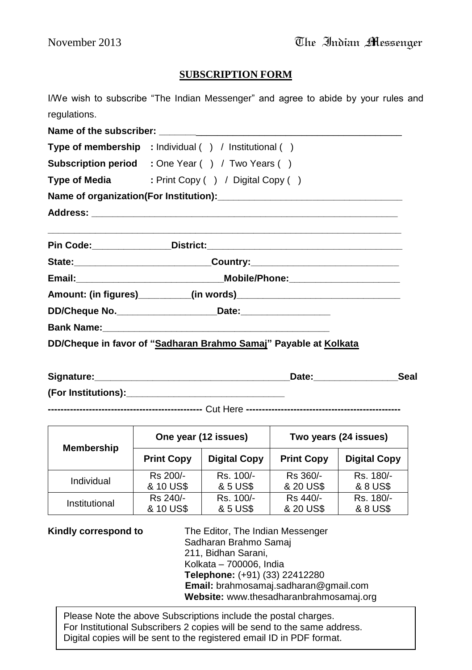#### **SUBSCRIPTION FORM**

I/We wish to subscribe "The Indian Messenger" and agree to abide by your rules and regulations.

Name of the subscriber: **Type of membership :** Individual ( ) / Institutional ( ) **Subscription period :** One Year ( ) / Two Years ( ) **Type of Media** : Print Copy ( ) / Digital Copy ( ) **Name of organization(For Institution):\_\_\_\_\_\_\_\_\_\_\_\_\_\_\_\_\_\_\_\_\_\_\_\_\_\_\_\_\_\_\_\_\_\_\_ Address: \_\_\_\_\_\_\_\_\_\_\_\_\_\_\_\_\_\_\_\_\_\_\_\_\_\_\_\_\_\_\_\_\_\_\_\_\_\_\_\_\_\_\_\_\_\_\_\_\_\_\_\_\_\_\_\_\_\_ \_\_\_\_\_\_\_\_\_\_\_\_\_\_\_\_\_\_\_\_\_\_\_\_\_\_\_\_\_\_\_\_\_\_\_\_\_\_\_\_\_\_\_\_\_\_\_\_\_\_\_\_\_\_\_\_\_\_\_\_\_\_\_\_\_\_\_ Pin Code:\_\_\_\_\_\_\_\_\_\_\_\_\_\_\_District:\_\_\_\_\_\_\_\_\_\_\_\_\_\_\_\_\_\_\_\_\_\_\_\_\_\_\_\_\_\_\_\_\_\_\_\_\_ State:\_\_\_\_\_\_\_\_\_\_\_\_\_\_\_\_\_\_\_\_\_\_\_\_\_\_Country:\_\_\_\_\_\_\_\_\_\_\_\_\_\_\_\_\_\_\_\_\_\_\_\_\_\_\_\_ Email:\_\_\_\_\_\_\_\_\_\_\_\_\_\_\_\_\_\_\_\_\_\_\_\_\_\_\_\_Mobile/Phone:\_\_\_\_\_\_\_\_\_\_\_\_\_\_\_\_\_\_\_\_\_ Amount: (in figures)\_\_\_\_\_\_\_\_\_\_(in words)\_\_\_\_\_\_\_\_\_\_\_\_\_\_\_\_\_\_\_\_\_\_\_\_\_\_\_\_\_\_\_ DD/Cheque No.\_\_\_\_\_\_\_\_\_\_\_\_\_\_\_\_\_\_\_Date:\_\_\_\_\_\_\_\_\_\_\_\_\_\_\_\_\_ Bank Name: DD/Cheque in favor of "Sadharan Brahmo Samaj" Payable at Kolkata**

| Signature:          | Date: | Seal |
|---------------------|-------|------|
| (For Institutions): |       |      |

**-------------------------------------------------** Cut Here **-------------------------------------------------**

| <b>Membership</b> | One year (12 issues) |                     | Two years (24 issues) |                     |
|-------------------|----------------------|---------------------|-----------------------|---------------------|
|                   | <b>Print Copy</b>    | <b>Digital Copy</b> | <b>Print Copy</b>     | <b>Digital Copy</b> |
| Individual        | Rs 200/-             | Rs. 100/-           | Rs 360/-              | Rs. 180/-           |
|                   | & 10 US\$            | & 5 US\$            | & 20 US\$             | & 8 US\$            |
| Institutional     | Rs 240/-             | Rs. 100/-           | Rs 440/-              | Rs. 180/-           |
|                   | & 10 US\$            | & 5 US\$            | & 20 US\$             | & 8 US\$            |

**Kindly correspond to** The Editor, The Indian Messenger Sadharan Brahmo Samaj 211, Bidhan Sarani, Kolkata – 700006, India **Telephone:** (+91) (33) 22412280 **Email:** brahmosamaj.sadharan@gmail.com **Website:** www.thesadharanbrahmosamaj.org

For Institutional Subscribers 2 copies will be send to the same address.<br>Dirital conics will be sent to the saciitational small ID in DDE format. Please Note the above Subscriptions include the postal charges. Digital copies will be sent to the registered email ID in PDF format.